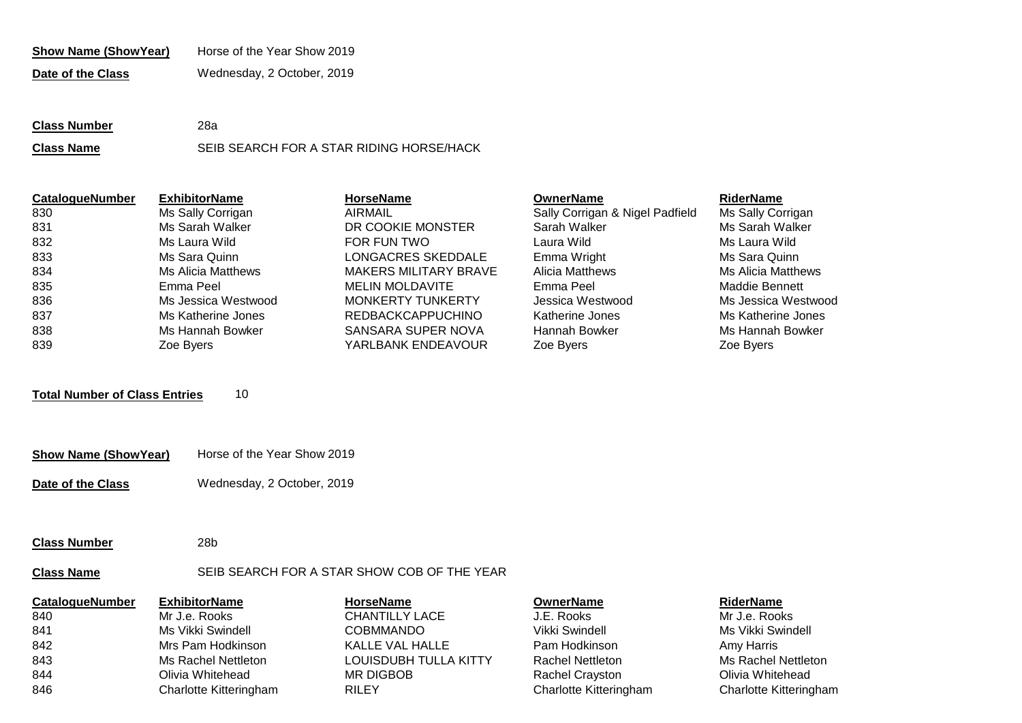**Show Name (ShowYear)** Horse of the Year Show 2019

**Date of the Class** Wednesday, 2 October, 2019

# **Class Number** 28a **Class Name** SEIB SEARCH FOR A STAR RIDING HORSE/HACK

| <b>CatalogueNumber</b> | <b>ExhibitorName</b> | <b>HorseName</b>             | <b>OwnerName</b>                | <b>RiderName</b>    |
|------------------------|----------------------|------------------------------|---------------------------------|---------------------|
| 830                    | Ms Sally Corrigan    | <b>AIRMAIL</b>               | Sally Corrigan & Nigel Padfield | Ms Sally Corrigan   |
| 831                    | Ms Sarah Walker      | DR COOKIE MONSTER            | Sarah Walker                    | Ms Sarah Walker     |
| 832                    | Ms Laura Wild        | FOR FUN TWO                  | Laura Wild                      | Ms Laura Wild       |
| 833                    | Ms Sara Quinn        | LONGACRES SKEDDALE           | Emma Wright                     | Ms Sara Quinn       |
| 834                    | Ms Alicia Matthews   | <b>MAKERS MILITARY BRAVE</b> | Alicia Matthews                 | Ms Alicia Matthews  |
| 835                    | Emma Peel            | <b>MELIN MOLDAVITE</b>       | Emma Peel                       | Maddie Bennett      |
| 836                    | Ms Jessica Westwood  | <b>MONKERTY TUNKERTY</b>     | Jessica Westwood                | Ms Jessica Westwood |
| 837                    | Ms Katherine Jones   | <b>REDBACKCAPPUCHINO</b>     | Katherine Jones                 | Ms Katherine Jones  |
| 838                    | Ms Hannah Bowker     | SANSARA SUPER NOVA           | Hannah Bowker                   | Ms Hannah Bowker    |
| 839                    | Zoe Byers            | YARLBANK ENDEAVOUR           | Zoe Byers                       | Zoe Byers           |

## **Total Number of Class Entries** 10

**Show Name (ShowYear)** Horse of the Year Show 2019

**Date of the Class** Wednesday, 2 October, 2019

### **Class Number** 28b

Class Name SEIB SEARCH FOR A STAR SHOW COB OF THE YEAR

| <b>CatalogueNumber</b> | <b>ExhibitorName</b>   | <b>HorseName</b>      | <b>OwnerName</b>        | <b>RiderName</b>       |
|------------------------|------------------------|-----------------------|-------------------------|------------------------|
| 840                    | Mr J.e. Rooks          | <b>CHANTILLY LACE</b> | J.E. Rooks              | Mr J.e. Rooks          |
| 841                    | Ms Vikki Swindell      | <b>COBMMANDO</b>      | Vikki Swindell          | Ms Vikki Swindell      |
| 842                    | Mrs Pam Hodkinson      | KALLE VAL HALLE       | Pam Hodkinson           | Amy Harris             |
| 843                    | Ms Rachel Nettleton    | LOUISDUBH TULLA KITTY | <b>Rachel Nettleton</b> | Ms Rachel Nettleton    |
| 844                    | Olivia Whitehead       | MR DIGBOB             | Rachel Crayston         | Olivia Whitehead       |
| 846                    | Charlotte Kitteringham | <b>RILEY</b>          | Charlotte Kitteringham  | Charlotte Kitteringham |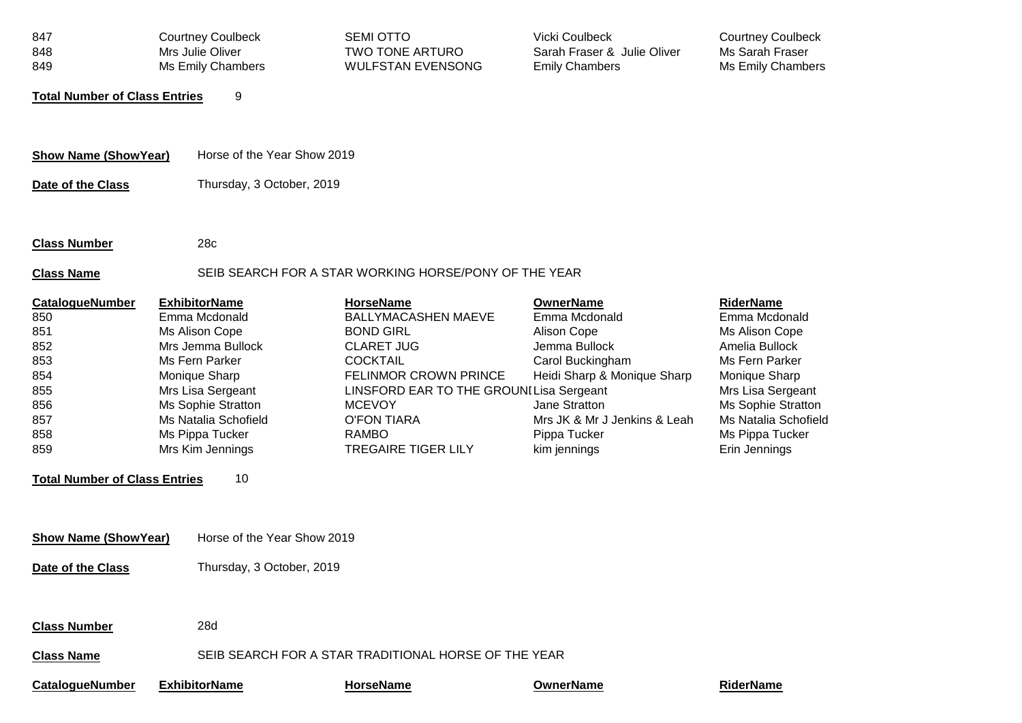| 847<br>848                                         | <b>Courtney Coulbeck</b><br>Mrs Julie Oliver                                                        | <b>SEMI OTTO</b><br><b>TWO TONE ARTURO</b>                                                                                      | Vicki Coulbeck<br>Sarah Fraser & Julie Oliver                                                | <b>Courtney Coulbeck</b><br>Ms Sarah Fraser                                                         |  |  |
|----------------------------------------------------|-----------------------------------------------------------------------------------------------------|---------------------------------------------------------------------------------------------------------------------------------|----------------------------------------------------------------------------------------------|-----------------------------------------------------------------------------------------------------|--|--|
| 849                                                | Ms Emily Chambers                                                                                   | <b>WULFSTAN EVENSONG</b>                                                                                                        | <b>Emily Chambers</b>                                                                        | Ms Emily Chambers                                                                                   |  |  |
| <b>Total Number of Class Entries</b>               | 9                                                                                                   |                                                                                                                                 |                                                                                              |                                                                                                     |  |  |
|                                                    |                                                                                                     |                                                                                                                                 |                                                                                              |                                                                                                     |  |  |
| <b>Show Name (ShowYear)</b>                        | Horse of the Year Show 2019                                                                         |                                                                                                                                 |                                                                                              |                                                                                                     |  |  |
| Date of the Class                                  | Thursday, 3 October, 2019                                                                           |                                                                                                                                 |                                                                                              |                                                                                                     |  |  |
|                                                    |                                                                                                     |                                                                                                                                 |                                                                                              |                                                                                                     |  |  |
| <b>Class Number</b>                                | 28 <sub>c</sub>                                                                                     |                                                                                                                                 |                                                                                              |                                                                                                     |  |  |
| <b>Class Name</b>                                  |                                                                                                     | SEIB SEARCH FOR A STAR WORKING HORSE/PONY OF THE YEAR                                                                           |                                                                                              |                                                                                                     |  |  |
| <b>CatalogueNumber</b><br>850<br>851<br>852<br>853 | <b>ExhibitorName</b><br>Emma Mcdonald<br>Ms Alison Cope<br>Mrs Jemma Bullock<br>Ms Fern Parker      | <b>HorseName</b><br><b>BALLYMACASHEN MAEVE</b><br><b>BOND GIRL</b><br><b>CLARET JUG</b><br><b>COCKTAIL</b>                      | <b>OwnerName</b><br>Emma Mcdonald<br>Alison Cope<br>Jemma Bullock<br>Carol Buckingham        | <b>RiderName</b><br>Emma Mcdonald<br>Ms Alison Cope<br>Amelia Bullock<br>Ms Fern Parker             |  |  |
| 854<br>855<br>856<br>857<br>858                    | Monique Sharp<br>Mrs Lisa Sergeant<br>Ms Sophie Stratton<br>Ms Natalia Schofield<br>Ms Pippa Tucker | <b>FELINMOR CROWN PRINCE</b><br>LINSFORD EAR TO THE GROUNI Lisa Sergeant<br><b>MCEVOY</b><br><b>O'FON TIARA</b><br><b>RAMBO</b> | Heidi Sharp & Monique Sharp<br>Jane Stratton<br>Mrs JK & Mr J Jenkins & Leah<br>Pippa Tucker | Monique Sharp<br>Mrs Lisa Sergeant<br>Ms Sophie Stratton<br>Ms Natalia Schofield<br>Ms Pippa Tucker |  |  |
| 859                                                | Mrs Kim Jennings                                                                                    | <b>TREGAIRE TIGER LILY</b>                                                                                                      | kim jennings                                                                                 | Erin Jennings                                                                                       |  |  |
| <b>Total Number of Class Entries</b>               | 10                                                                                                  |                                                                                                                                 |                                                                                              |                                                                                                     |  |  |
|                                                    |                                                                                                     |                                                                                                                                 |                                                                                              |                                                                                                     |  |  |
| <b>Show Name (ShowYear)</b>                        | Horse of the Year Show 2019                                                                         |                                                                                                                                 |                                                                                              |                                                                                                     |  |  |
| Date of the Class                                  | Thursday, 3 October, 2019                                                                           |                                                                                                                                 |                                                                                              |                                                                                                     |  |  |
| <b>Class Number</b>                                | 28d                                                                                                 |                                                                                                                                 |                                                                                              |                                                                                                     |  |  |
| <b>Class Name</b>                                  |                                                                                                     | SEIB SEARCH FOR A STAR TRADITIONAL HORSE OF THE YEAR                                                                            |                                                                                              |                                                                                                     |  |  |
| <b>CatalogueNumber</b>                             | <b>ExhibitorName</b>                                                                                | <b>HorseName</b>                                                                                                                | <b>OwnerName</b>                                                                             | <b>RiderName</b>                                                                                    |  |  |